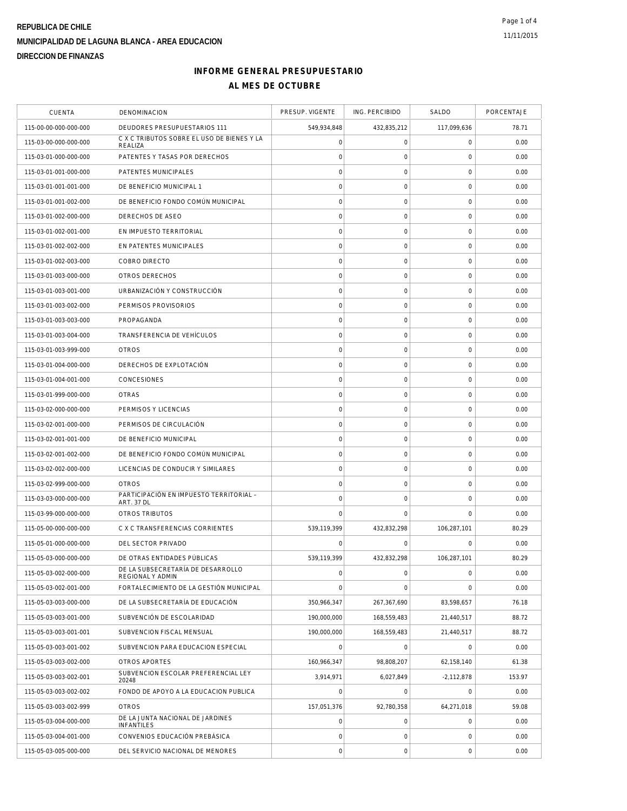## **INFORME GENERAL PRESUPUESTARIO AL MES DE OCTUBRE**

| <b>CUENTA</b>         | DENOMINACION                                          | PRESUP. VIGENTE     | ING. PERCIBIDO      | SALDO               | PORCENTAJE |
|-----------------------|-------------------------------------------------------|---------------------|---------------------|---------------------|------------|
| 115-00-00-000-000-000 | DEUDORES PRESUPUESTARIOS 111                          | 549,934,848         | 432,835,212         | 117,099,636         | 78.71      |
| 115-03-00-000-000-000 | C X C TRIBUTOS SOBRE EL USO DE BIENES Y LA<br>REALIZA | $\mathsf{O}\xspace$ | $\mathsf O$         | $\mathbf 0$         | 0.00       |
| 115-03-01-000-000-000 | PATENTES Y TASAS POR DERECHOS                         | $\mathbf 0$         | 0                   | 0                   | 0.00       |
| 115-03-01-001-000-000 | PATENTES MUNICIPALES                                  | $\mathsf{O}\xspace$ | $\mathsf{O}\xspace$ | $\mathbf 0$         | 0.00       |
| 115-03-01-001-001-000 | DE BENEFICIO MUNICIPAL 1                              | $\mathbf 0$         | $\mathsf{O}\xspace$ | $\mathbf 0$         | 0.00       |
| 115-03-01-001-002-000 | DE BENEFICIO FONDO COMÚN MUNICIPAL                    | $\circ$             | $\mathbf 0$         | $\mathbf 0$         | 0.00       |
| 115-03-01-002-000-000 | DERECHOS DE ASEO                                      | $\circ$             | $\mathsf{O}\xspace$ | $\mathbf 0$         | 0.00       |
| 115-03-01-002-001-000 | EN IMPUESTO TERRITORIAL                               | $\mathsf{O}\xspace$ | $\mathsf{O}\xspace$ | $\mathbf 0$         | 0.00       |
| 115-03-01-002-002-000 | EN PATENTES MUNICIPALES                               | $\circ$             | $\mathsf{O}\xspace$ | $\mathbf 0$         | 0.00       |
| 115-03-01-002-003-000 | COBRO DIRECTO                                         | $\mathbf 0$         | $\mathsf O$         | $\mathbf 0$         | 0.00       |
| 115-03-01-003-000-000 | OTROS DERECHOS                                        | $\mathsf{O}\xspace$ | $\mathsf{O}\xspace$ | $\mathbf 0$         | 0.00       |
| 115-03-01-003-001-000 | URBANIZACIÓN Y CONSTRUCCIÓN                           | $\circ$             | $\mathsf{O}\xspace$ | $\mathbf 0$         | 0.00       |
| 115-03-01-003-002-000 | PERMISOS PROVISORIOS                                  | $\mathsf{O}\xspace$ | $\mathsf{O}\xspace$ | $\mathbf 0$         | 0.00       |
| 115-03-01-003-003-000 | PROPAGANDA                                            | $\mathbf 0$         | $\mathsf{O}\xspace$ | $\mathbf 0$         | 0.00       |
| 115-03-01-003-004-000 | TRANSFERENCIA DE VEHÍCULOS                            | $\mathbf 0$         | 0                   | 0                   | 0.00       |
| 115-03-01-003-999-000 | <b>OTROS</b>                                          | $\mathsf{O}\xspace$ | $\mathsf O$         | $\mathbf 0$         | 0.00       |
| 115-03-01-004-000-000 | DERECHOS DE EXPLOTACIÓN                               | $\circ$             | $\mathsf O$         | $\mathbf 0$         | 0.00       |
| 115-03-01-004-001-000 | CONCESIONES                                           | $\circ$             | $\mathbf 0$         | $\mathbf 0$         | 0.00       |
| 115-03-01-999-000-000 | <b>OTRAS</b>                                          | $\circ$             | $\mathsf{O}\xspace$ | $\mathbf 0$         | 0.00       |
| 115-03-02-000-000-000 | PERMISOS Y LICENCIAS                                  | $\mathsf{O}\xspace$ | $\mathbf 0$         | $\mathbf 0$         | 0.00       |
| 115-03-02-001-000-000 | PERMISOS DE CIRCULACIÓN                               | $\mathbf 0$         | $\mathsf{O}\xspace$ | $\mathsf{O}\xspace$ | 0.00       |
| 115-03-02-001-001-000 | DE BENEFICIO MUNICIPAL                                | $\circ$             | $\mathsf O$         | $\mathbf 0$         | 0.00       |
| 115-03-02-001-002-000 | DE BENEFICIO FONDO COMÚN MUNICIPAL                    | $\circ$             | $\mathsf{O}\xspace$ | $\mathbf 0$         | 0.00       |
| 115-03-02-002-000-000 | LICENCIAS DE CONDUCIR Y SIMILARES                     | $\circ$             | $\mathbf 0$         | $\mathbf 0$         | 0.00       |
| 115-03-02-999-000-000 | <b>OTROS</b>                                          | $\mathsf{O}\xspace$ | $\mathsf{O}\xspace$ | $\mathbf 0$         | 0.00       |
| 115-03-03-000-000-000 | PARTICIPACIÓN EN IMPUESTO TERRITORIAL -<br>ART. 37 DL | $\mathbf 0$         | $\mathsf{O}\xspace$ | $\mathbf 0$         | 0.00       |
| 115-03-99-000-000-000 | OTROS TRIBUTOS                                        | $\mathbf 0$         | $\mathbf 0$         | $\mathbf 0$         | 0.00       |
| 115-05-00-000-000-000 | C X C TRANSFERENCIAS CORRIENTES                       | 539,119,399         | 432,832,298         | 106,287,101         | 80.29      |
| 115-05-01-000-000-000 | DEL SECTOR PRIVADO                                    | C                   | $\Omega$            | $\mathbf 0$         | 0.00       |
| 115-05-03-000-000-000 | DE OTRAS ENTIDADES PÚBLICAS                           | 539,119,399         | 432,832,298         | 106,287,101         | 80.29      |
| 115-05-03-002-000-000 | DE LA SUBSECRETARÍA DE DESARROLLO<br>REGIONAL Y ADMIN | $\circ$             | $\mathsf{O}\xspace$ | $\mathbf 0$         | 0.00       |
| 115-05-03-002-001-000 | FORTALECIMIENTO DE LA GESTIÓN MUNICIPAL               | $\mathbf 0$         | $\mathbf 0$         | $\mathbf 0$         | 0.00       |
| 115-05-03-003-000-000 | DE LA SUBSECRETARÍA DE EDUCACIÓN                      | 350,966,347         | 267,367,690         | 83,598,657          | 76.18      |
| 115-05-03-003-001-000 | SUBVENCIÓN DE ESCOLARIDAD                             | 190,000,000         | 168,559,483         | 21,440,517          | 88.72      |
| 115-05-03-003-001-001 | SUBVENCION FISCAL MENSUAL                             | 190,000,000         | 168,559,483         | 21,440,517          | 88.72      |
| 115-05-03-003-001-002 | SUBVENCION PARA EDUCACION ESPECIAL                    | $\overline{0}$      | $\mathbf 0$         | $\mathbf 0$         | 0.00       |
| 115-05-03-003-002-000 | OTROS APORTES                                         | 160,966,347         | 98,808,207          | 62,158,140          | 61.38      |
| 115-05-03-003-002-001 | SUBVENCION ESCOLAR PREFERENCIAL LEY<br>20248          | 3,914,971           | 6,027,849           | $-2,112,878$        | 153.97     |
| 115-05-03-003-002-002 | FONDO DE APOYO A LA EDUCACION PUBLICA                 | $\mathbf 0$         | $\mathsf O$         | $\mathbf 0$         | 0.00       |
| 115-05-03-003-002-999 | <b>OTROS</b>                                          | 157,051,376         | 92,780,358          | 64,271,018          | 59.08      |
| 115-05-03-004-000-000 | DE LA JUNTA NACIONAL DE JARDINES<br><b>INFANTILES</b> | $\mathsf{O}\xspace$ | $\mathsf O$         | $\mathbf 0$         | 0.00       |
| 115-05-03-004-001-000 | CONVENIOS EDUCACIÓN PREBÁSICA                         | $\mathsf{O}\xspace$ | $\mathbf 0$         | $\mathbf 0$         | 0.00       |
| 115-05-03-005-000-000 | DEL SERVICIO NACIONAL DE MENORES                      | $\mathsf{O}\xspace$ | $\mathsf{O}\xspace$ | $\mathbf 0$         | 0.00       |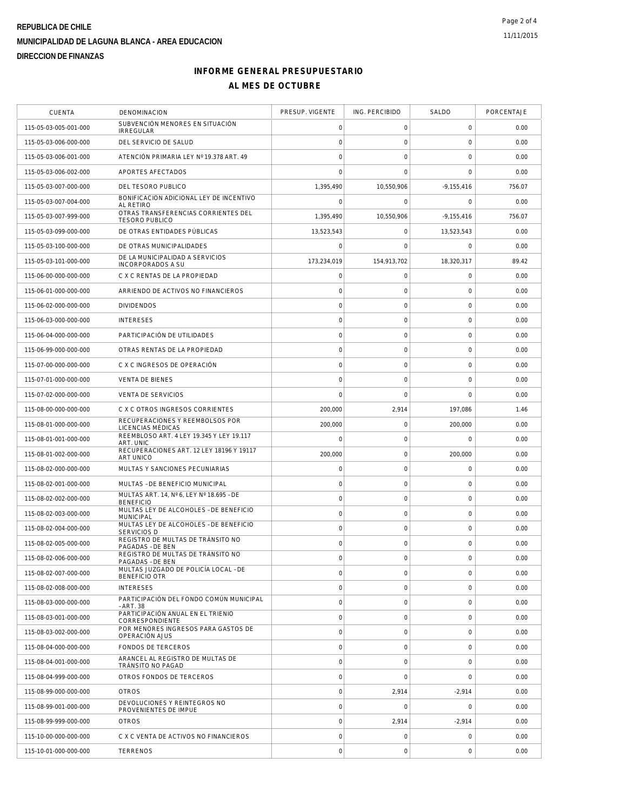# **INFORME GENERAL PRESUPUESTARIO AL MES DE OCTUBRE**

| <b>CUENTA</b>         | DENOMINACION                                                 | PRESUP. VIGENTE     | ING. PERCIBIDO      | SALDO               | PORCENTAJE |
|-----------------------|--------------------------------------------------------------|---------------------|---------------------|---------------------|------------|
| 115-05-03-005-001-000 | SUBVENCIÓN MENORES EN SITUACIÓN<br><b>IRREGULAR</b>          | 0                   | 0                   | 0                   | 0.00       |
| 115-05-03-006-000-000 | DEL SERVICIO DE SALUD                                        | $\mathsf{O}\xspace$ | $\mathsf O$         | $\mathbf 0$         | 0.00       |
| 115-05-03-006-001-000 | ATENCIÓN PRIMARIA LEY Nº 19.378 ART. 49                      | $\mathbf 0$         | $\mathbf 0$         | $\mathbf 0$         | 0.00       |
| 115-05-03-006-002-000 | APORTES AFECTADOS                                            | $\mathbf 0$         | $\mathbf 0$         | $\mathbf 0$         | 0.00       |
| 115-05-03-007-000-000 | DEL TESORO PUBLICO                                           | 1,395,490           | 10,550,906          | $-9,155,416$        | 756.07     |
| 115-05-03-007-004-000 | BONIFICACION ADICIONAL LEY DE INCENTIVO<br>AI RETIRO         | $\mathbf 0$         | 0                   | $\mathbf 0$         | 0.00       |
| 115-05-03-007-999-000 | OTRAS TRANSFERENCIAS CORRIENTES DEL<br><b>TESORO PUBLICO</b> | 1,395,490           | 10,550,906          | $-9,155,416$        | 756.07     |
| 115-05-03-099-000-000 | DE OTRAS ENTIDADES PÚBLICAS                                  | 13.523.543          | 0                   | 13.523.543          | 0.00       |
| 115-05-03-100-000-000 | DE OTRAS MUNICIPALIDADES                                     | $\mathbf 0$         | $\mathbf 0$         | $\mathbf 0$         | 0.00       |
| 115-05-03-101-000-000 | DE LA MUNICIPALIDAD A SERVICIOS<br>INCORPORADOS A SU         | 173,234,019         | 154,913,702         | 18,320,317          | 89.42      |
| 115-06-00-000-000-000 | C X C RENTAS DE LA PROPIEDAD                                 | $\mathbf 0$         | 0                   | $\mathbf 0$         | 0.00       |
| 115-06-01-000-000-000 | ARRIENDO DE ACTIVOS NO FINANCIEROS                           | $\mathbf 0$         | $\mathsf{O}\xspace$ | $\mathbf 0$         | 0.00       |
| 115-06-02-000-000-000 | <b>DIVIDENDOS</b>                                            | $\mathsf{O}\xspace$ | 0                   | 0                   | 0.00       |
| 115-06-03-000-000-000 | <b>INTERESES</b>                                             | $\circ$             | $\mathsf{O}\xspace$ | $\mathbf 0$         | 0.00       |
| 115-06-04-000-000-000 | PARTICIPACIÓN DE UTILIDADES                                  | $\mathbf 0$         | $\mathsf{O}\xspace$ | $\mathbf 0$         | 0.00       |
| 115-06-99-000-000-000 | OTRAS RENTAS DE LA PROPIEDAD                                 | $\mathsf{O}\xspace$ | $\mathsf{O}\xspace$ | $\mathbf 0$         | 0.00       |
| 115-07-00-000-000-000 | C X C INGRESOS DE OPERACIÓN                                  | $\circ$             | $\mathbf 0$         | $\mathbf 0$         | 0.00       |
| 115-07-01-000-000-000 | <b>VENTA DE BIENES</b>                                       | $\circ$             | $\mathsf{O}\xspace$ | $\mathbf 0$         | 0.00       |
| 115-07-02-000-000-000 | <b>VENTA DE SERVICIOS</b>                                    | $\Omega$            | $\Omega$            | $\mathbf 0$         | 0.00       |
| 115-08-00-000-000-000 | C X C OTROS INGRESOS CORRIENTES                              | 200,000             | 2,914               | 197,086             | 1.46       |
| 115-08-01-000-000-000 | RECUPERACIONES Y REEMBOLSOS POR<br>LICENCIAS MÉDICAS         | 200,000             | $\mathsf{O}\xspace$ | 200,000             | 0.00       |
| 115-08-01-001-000-000 | REEMBLOSO ART. 4 LEY 19.345 Y LEY 19.117<br>ART. UNIC        | $\mathbf 0$         | $\mathsf{O}\xspace$ | $\mathbf 0$         | 0.00       |
| 115-08-01-002-000-000 | RECUPERACIONES ART. 12 LEY 18196 Y 19117<br>ART UNICO        | 200,000             | $\mathbf 0$         | 200,000             | 0.00       |
| 115-08-02-000-000-000 | MULTAS Y SANCIONES PECUNIARIAS                               | $\circ$             | $\mathsf{O}\xspace$ | $\mathbf 0$         | 0.00       |
| 115-08-02-001-000-000 | MULTAS - DE BENEFICIO MUNICIPAL                              | 0                   | 0                   | 0                   | 0.00       |
| 115-08-02-002-000-000 | MULTAS ART. 14, Nº 6, LEY Nº 18.695 - DE<br><b>BENEFICIO</b> | $\mathbf 0$         | $\mathsf O$         | $\mathsf{O}\xspace$ | 0.00       |
| 115-08-02-003-000-000 | MULTAS LEY DE ALCOHOLES - DE BENEFICIO<br><b>MUNICIPAL</b>   | $\circ$             | $\mathsf{O}\xspace$ | $\mathbf 0$         | 0.00       |
| 115-08-02-004-000-000 | MULTAS LEY DE ALCOHOLES - DE BENEFICIO<br><b>SERVICIOS D</b> | $\mathbf 0$         | $\mathbf 0$         | $\mathbf 0$         | 0.00       |
| 115-08-02-005-000-000 | REGISTRO DE MULTAS DE TRÁNSITO NO<br>PAGADAS - DE BEN        | $\circ$             | $\mathbf 0$         | $\mathbf 0$         | 0.00       |
| 115-08-02-006-000-000 | REGISTRO DE MULTAS DE TRÁNSITO NO<br>PAGADAS - DE BEN        | $\mathsf{O}\xspace$ | $\mathsf{O}\xspace$ | $\mathbf 0$         | 0.00       |
| 115-08-02-007-000-000 | MULTAS JUZGADO DE POLICÍA LOCAL - DE<br><b>BENEFICIO OTR</b> | $\mathbf 0$         | $\mathsf O$         | $\mathbf 0$         | 0.00       |
| 115-08-02-008-000-000 | <b>INTERESES</b>                                             | $\mathbf 0$         | $\mathbf 0$         | 0                   | 0.00       |
| 115-08-03-000-000-000 | PARTICIPACIÓN DEL FONDO COMÚN MUNICIPAL<br>- ART. 38         | $\circ$             | $\mathsf{O}\xspace$ | $\mathbf 0$         | 0.00       |
| 115-08-03-001-000-000 | PARTICIPACIÓN ANUAL EN EL TRIENIO<br>CORRESPONDIENTE         | $\mathbf 0$         | $\mathbf 0$         | $\mathbf 0$         | 0.00       |
| 115-08-03-002-000-000 | POR MENORES INGRESOS PARA GASTOS DE<br>OPERACIÓN AJUS        | $\circ$             | $\mathbf 0$         | $\mathbf 0$         | 0.00       |
| 115-08-04-000-000-000 | FONDOS DE TERCEROS                                           | $\circ$             | $\mathsf O$         | $\mathbf 0$         | 0.00       |
| 115-08-04-001-000-000 | ARANCEL AL REGISTRO DE MULTAS DE<br>TRÁNSITO NO PAGAD        | $\mathsf{O}\xspace$ | $\mathbf 0$         | 0                   | 0.00       |
| 115-08-04-999-000-000 | OTROS FONDOS DE TERCEROS                                     | $\circ$             | $\mathbf 0$         | $\mathbf 0$         | 0.00       |
| 115-08-99-000-000-000 | <b>OTROS</b>                                                 | $\circ$             | 2,914               | $-2,914$            | 0.00       |
| 115-08-99-001-000-000 | DEVOLUCIONES Y REINTEGROS NO<br>PROVENIENTES DE IMPUE        | $\mathsf{O}\xspace$ | $\mathbf 0$         | $\mathbf 0$         | 0.00       |
| 115-08-99-999-000-000 | <b>OTROS</b>                                                 | $\circ$             | 2,914               | $-2,914$            | 0.00       |
| 115-10-00-000-000-000 | C X C VENTA DE ACTIVOS NO FINANCIEROS                        | $\mathsf{O}\xspace$ | $\mathsf O$         | $\mathbf 0$         | 0.00       |
| 115-10-01-000-000-000 | <b>TERRENOS</b>                                              | $\mathbf 0$         | $\boldsymbol{0}$    | $\mathsf{O}\xspace$ | 0.00       |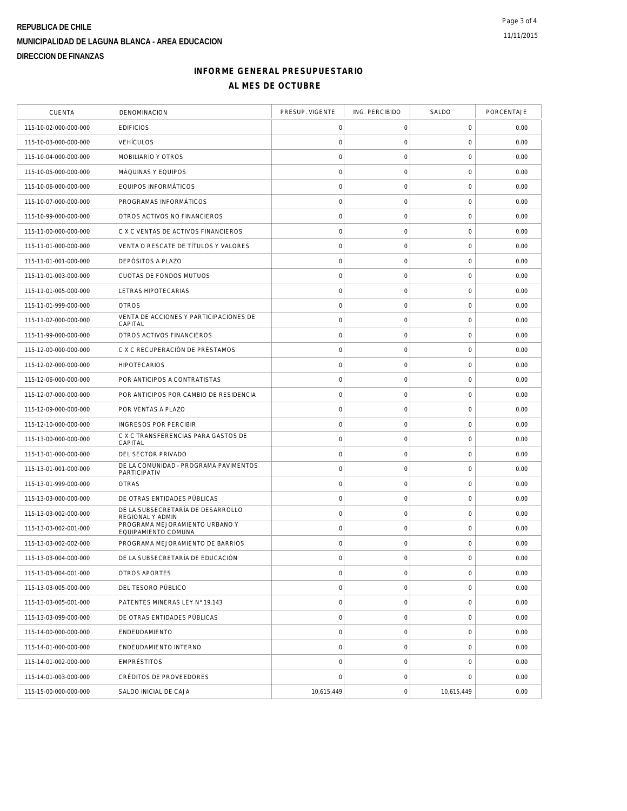## **INFORME GENERAL PRESUPUESTARIO AL MES DE OCTUBRE**

| <b>CUENTA</b>         | DENOMINACION                                          | PRESUP. VIGENTE     | ING. PERCIBIDO      | SALDO               | PORCENTAJE |
|-----------------------|-------------------------------------------------------|---------------------|---------------------|---------------------|------------|
| 115-10-02-000-000-000 | <b>EDIFICIOS</b>                                      | 0                   | 0                   | 0                   | 0.00       |
| 115-10-03-000-000-000 | <b>VEHÍCULOS</b>                                      | $\mathbf 0$         | $\mathsf O$         | $\mathbf 0$         | 0.00       |
| 115-10-04-000-000-000 | MOBILIARIO Y OTROS                                    | $\mathbf 0$         | $\mathsf{O}\xspace$ | $\mathbf 0$         | 0.00       |
| 115-10-05-000-000-000 | MÁQUINAS Y EQUIPOS                                    | $\mathsf{O}\xspace$ | $\mathsf O$         | 0                   | 0.00       |
| 115-10-06-000-000-000 | EQUIPOS INFORMÁTICOS                                  | $\mathbf 0$         | $\mathsf O$         | $\mathsf{O}\xspace$ | 0.00       |
| 115-10-07-000-000-000 | PROGRAMAS INFORMÁTICOS                                | $\mathbf 0$         | $\mathsf O$         | $\mathbf 0$         | 0.00       |
| 115-10-99-000-000-000 | OTROS ACTIVOS NO FINANCIEROS                          | $\mathsf{O}\xspace$ | $\mathsf{O}\xspace$ | $\mathbf 0$         | 0.00       |
| 115-11-00-000-000-000 | C X C VENTAS DE ACTIVOS FINANCIEROS                   | $\mathbf 0$         | $\mathsf{O}\xspace$ | $\mathbf 0$         | 0.00       |
| 115-11-01-000-000-000 | VENTA O RESCATE DE TÍTULOS Y VALORES                  | $\mathbf 0$         | $\mathsf{O}\xspace$ | $\mathbf 0$         | 0.00       |
| 115-11-01-001-000-000 | DEPÓSITOS A PLAZO                                     | $\mathbf 0$         | $\mathsf O$         | $\mathsf{O}\xspace$ | 0.00       |
| 115-11-01-003-000-000 | CUOTAS DE FONDOS MUTUOS                               | $\circ$             | 0                   | 0                   | 0.00       |
| 115-11-01-005-000-000 | LETRAS HIPOTECARIAS                                   | $\circ$             | $\mathsf{O}\xspace$ | $\mathsf{O}\xspace$ | 0.00       |
| 115-11-01-999-000-000 | <b>OTROS</b>                                          | $\mathsf{O}\xspace$ | 0                   | $\mathsf{O}\xspace$ | 0.00       |
| 115-11-02-000-000-000 | VENTA DE ACCIONES Y PARTICIPACIONES DE<br>CAPITAL     | $\mathbf 0$         | $\mathsf O$         | $\mathbf 0$         | 0.00       |
| 115-11-99-000-000-000 | OTROS ACTIVOS FINANCIEROS                             | $\circ$             | $\mathsf{O}\xspace$ | $\mathbf 0$         | 0.00       |
| 115-12-00-000-000-000 | C X C RECUPERACIÓN DE PRÉSTAMOS                       | $\mathsf{O}\xspace$ | $\mathsf O$         | 0                   | 0.00       |
| 115-12-02-000-000-000 | <b>HIPOTECARIOS</b>                                   | $\mathbf 0$         | $\mathsf{O}\xspace$ | $\mathbf 0$         | 0.00       |
| 115-12-06-000-000-000 | POR ANTICIPOS A CONTRATISTAS                          | $\mathbf 0$         | $\mathsf{O}\xspace$ | $\mathsf{O}\xspace$ | 0.00       |
| 115-12-07-000-000-000 | POR ANTICIPOS POR CAMBIO DE RESIDENCIA                | $\mathsf{O}\xspace$ | $\mathsf{O}\xspace$ | $\mathsf{O}\xspace$ | 0.00       |
| 115-12-09-000-000-000 | POR VENTAS A PLAZO                                    | $\circ$             | $\mathsf{O}\xspace$ | $\mathbf 0$         | 0.00       |
| 115-12-10-000-000-000 | INGRESOS POR PERCIBIR                                 | $\mathbf 0$         | $\mathsf O$         | $\mathbf 0$         | 0.00       |
| 115-13-00-000-000-000 | C X C TRANSFERENCIAS PARA GASTOS DE<br>CAPITAL        | $\mathbf 0$         | $\mathsf O$         | $\mathsf{O}\xspace$ | 0.00       |
| 115-13-01-000-000-000 | DEL SECTOR PRIVADO                                    | $\circ$             | $\mathsf O$         | 0                   | 0.00       |
| 115-13-01-001-000-000 | DE LA COMUNIDAD - PROGRAMA PAVIMENTOS<br>PARTICIPATIV | $\circ$             | $\mathsf{O}\xspace$ | $\mathbf 0$         | 0.00       |
| 115-13-01-999-000-000 | <b>OTRAS</b>                                          | $\mathbf 0$         | $\mathsf{O}\xspace$ | $\mathsf{O}\xspace$ | 0.00       |
| 115-13-03-000-000-000 | DE OTRAS ENTIDADES PÚBLICAS                           | $\mathbf 0$         | $\mathsf O$         | $\mathbf 0$         | 0.00       |
| 115-13-03-002-000-000 | DE LA SUBSECRETARÍA DE DESARROLLO<br>REGIONAL Y ADMIN | $\mathbf 0$         | $\mathsf O$         | $\mathbf 0$         | 0.00       |
| 115-13-03-002-001-000 | PROGRAMA MEJORAMIENTO URBANO Y<br>EQUIPAMIENTO COMUNA | $\mathsf{O}\xspace$ | $\mathsf O$         | 0                   | 0.00       |
| 115-13-03-002-002-000 | PROGRAMA MEJORAMIENTO DE BARRIOS                      | $\mathbf 0$         | $\mathsf{O}\xspace$ | 0                   | 0.00       |
| 115-13-03-004-000-000 | DE LA SUBSECRETARÍA DE EDUCACIÓN                      | $\mathbf 0$         | $\mathbf 0$         | $\mathbf 0$         | 0.00       |
| 115-13-03-004-001-000 | OTROS APORTES                                         | $\mathsf{O}\xspace$ | $\boldsymbol{0}$    | $\mathsf{O}\xspace$ | 0.00       |
| 115-13-03-005-000-000 | DEL TESORO PÚBLICO                                    | $\circ$             | $\mathbf 0$         | $\mathbf 0$         | 0.00       |
| 115-13-03-005-001-000 | PATENTES MINERAS LEY N° 19.143                        | $\mathbf 0$         | $\mathsf O$         | $\mathbf 0$         | 0.00       |
| 115-13-03-099-000-000 | DE OTRAS ENTIDADES PÚBLICAS                           | $\mathsf{O}\xspace$ | $\mathsf O$         | $\mathsf 0$         | 0.00       |
| 115-14-00-000-000-000 | ENDEUDAMIENTO                                         | $\mathsf{O}\xspace$ | 0                   | $\mathsf 0$         | 0.00       |
| 115-14-01-000-000-000 | ENDEUDAMIENTO INTERNO                                 | $\mathbf 0$         | $\mathsf{O}\xspace$ | $\mathsf{O}\xspace$ | 0.00       |
| 115-14-01-002-000-000 | EMPRÉSTITOS                                           | $\mathbf 0$         | $\mathsf O$         | $\mathbf 0$         | 0.00       |
| 115-14-01-003-000-000 | CRÉDITOS DE PROVEEDORES                               | $\mathbf 0$         | $\mathsf O$         | $\mathbf 0$         | 0.00       |
| 115-15-00-000-000-000 | SALDO INICIAL DE CAJA                                 | 10,615,449          | $\mathsf{O}\xspace$ | 10,615,449          | 0.00       |